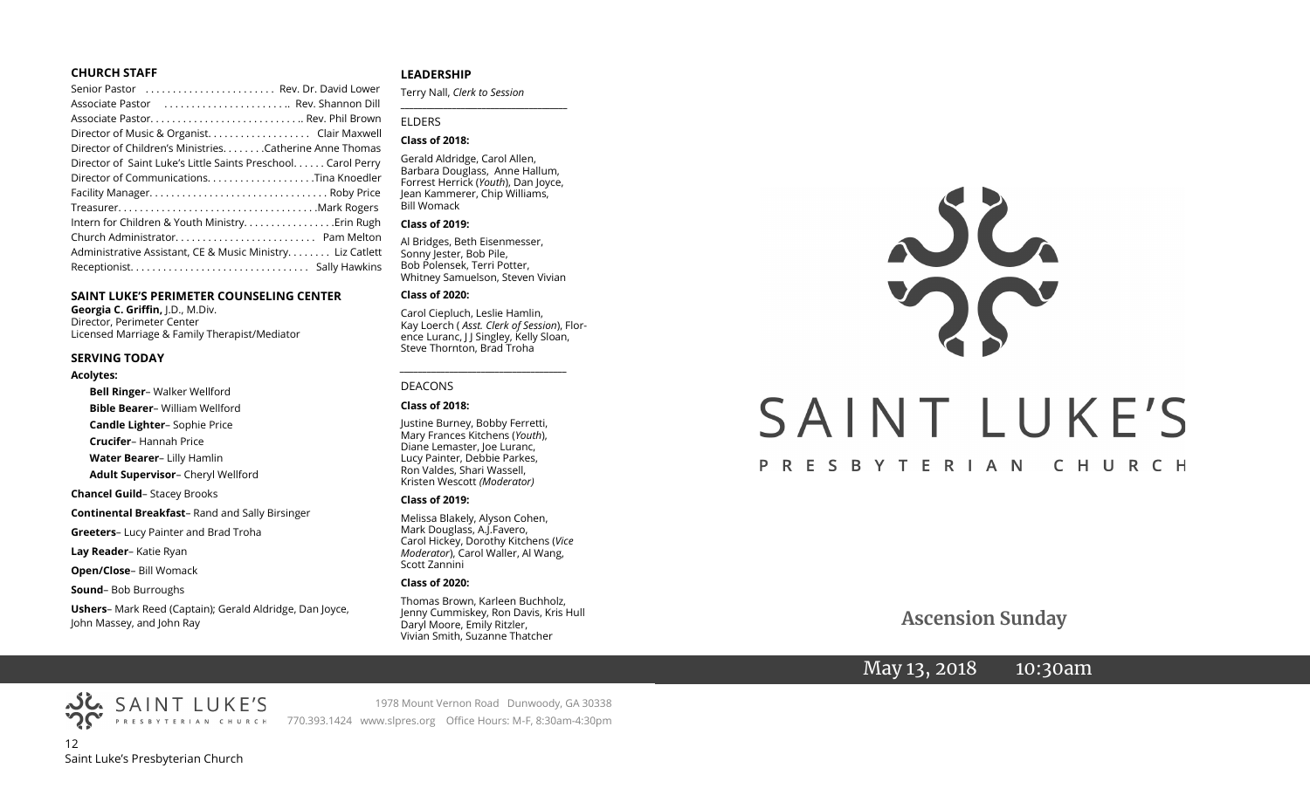#### **CHURCH STAFF**

#### **SAINT LUKE'S PERIMETER COUNSELING CENTER**

**Georgia C. Griffin,** J.D., M.Div. Director, Perimeter Center Licensed Marriage & Family Therapist/Mediator

#### **SERVING TODAY**

#### **Acolytes:**

**Bell Ringer**– Walker Wellford **Bible Bearer**– William Wellford **Candle Lighter**– Sophie Price **Crucifer**– Hannah Price **Water Bearer**– Lilly Hamlin **Adult Supervisor**– Cheryl Wellford **Chancel Guild**– Stacey Brooks **Continental Breakfast**– Rand and Sally Birsinger **Greeters**– Lucy Painter and Brad Troha **Lay Reader**– Katie Ryan

**Open/Close**– Bill Womack

**Sound**– Bob Burroughs

**Ushers**– Mark Reed (Captain); Gerald Aldridge, Dan Joyce, John Massey, and John Ray

#### **LEADERSHIP**

Terry Nall, *Clerk to Session*  **\_\_\_\_\_\_\_\_\_\_\_\_\_\_\_\_\_\_\_\_\_\_\_\_\_\_\_\_\_\_\_\_\_\_\_\_\_\_\_**

#### ELDERS

#### **Class of 2018:**

Gerald Aldridge, Carol Allen, Barbara Douglass, Anne Hallum, Forrest Herrick (*Youth*), Dan Joyce, Jean Kammerer, Chip Williams, Bill Womack

#### **Class of 2019:**

Al Bridges, Beth Eisenmesser, Sonny Jester, Bob Pile, Bob Polensek, Terri Potter, Whitney Samuelson, Steven Vivian

#### **Class of 2020:**

Carol Ciepluch, Leslie Hamlin, Kay Loerch ( *Asst. Clerk of Session*), Florence Luranc, J J Singley, Kelly Sloan, Steve Thornton, Brad Troha

*\_\_\_\_\_\_\_\_\_\_\_\_\_\_\_\_\_\_\_\_\_\_\_\_\_\_\_\_\_\_\_\_\_\_\_\_\_*

#### DEACONS

#### **Class of 2018:**

Justine Burney, Bobby Ferretti, Mary Frances Kitchens (*Youth*), Diane Lemaster, Joe Luranc, Lucy Painter, Debbie Parkes, Ron Valdes, Shari Wassell, Kristen Wescott *(Moderator)*

#### **Class of 2019:**

Melissa Blakely, Alyson Cohen, Mark Douglass, A.J.Favero, Carol Hickey, Dorothy Kitchens (*Vice Moderator*), Carol Waller, Al Wang, Scott Zannini

#### **Class of 2020:**

Thomas Brown, Karleen Buchholz, Jenny Cummiskey, Ron Davis, Kris Hull Daryl Moore, Emily Ritzler, Vivian Smith, Suzanne Thatcher



 **Ascension Sunday**

# May 13, 2018 10:30am

12 Saint Luke's Presbyterian Church

SAINT LUKE'S

1978 Mount Vernon Road Dunwoody, GA 30338 770.393.1424 www.slpres.org Office Hours: M-F, 8:30am-4:30pm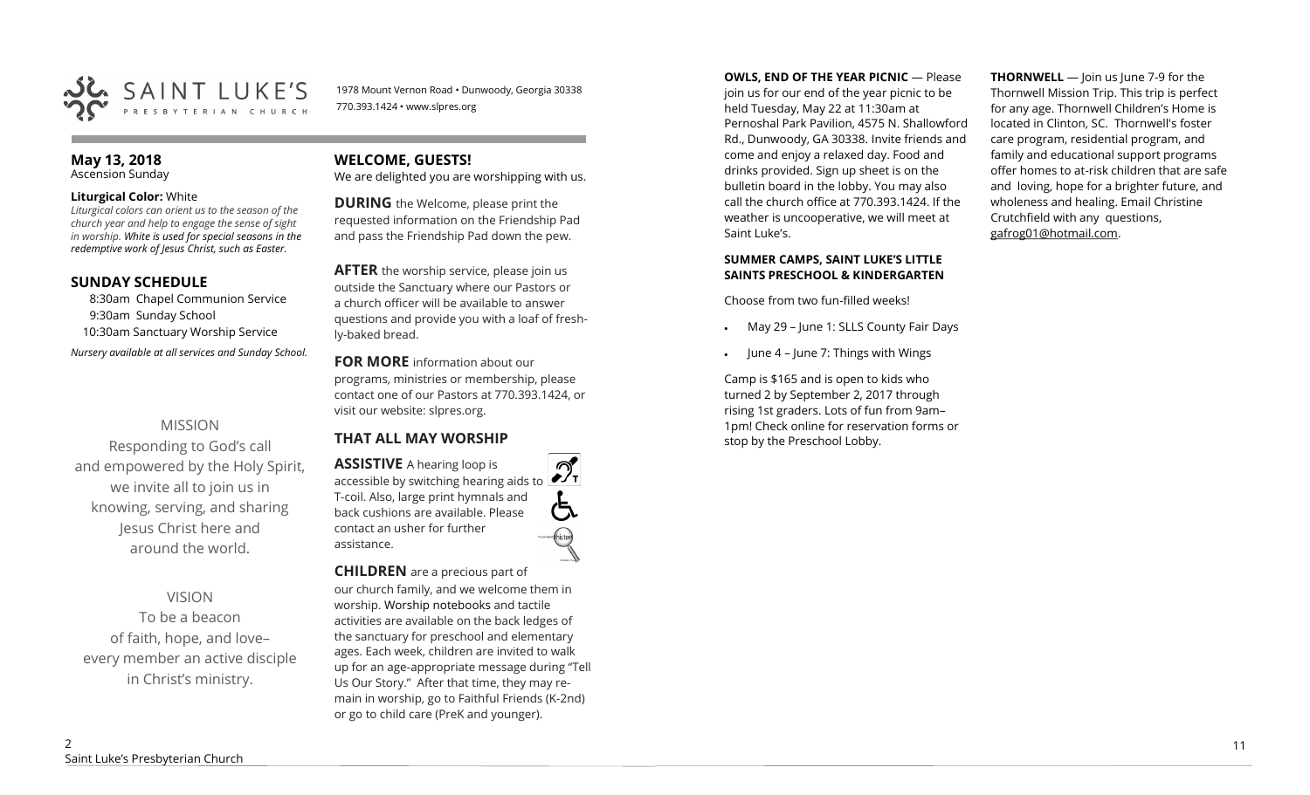

1978 Mount Vernon Road • Dunwoody, Georgia 30338 770.393.1424 • www.slpres.org

#### **May 13, 2018**  Ascension Sunday

#### **Liturgical Color:** White

*Liturgical colors can orient us to the season of the church year and help to engage the sense of sight in worship. White is used for special seasons in the redemptive work of Jesus Christ, such as Easter.* 

## **SUNDAY SCHEDULE**

8:30am Chapel Communion Service 9:30am Sunday School 10:30am Sanctuary Worship Service *Nursery available at all services and Sunday School.* 

## MISSION

Responding to God's call and empowered by the Holy Spirit, we invite all to join us in knowing, serving, and sharing Jesus Christ here and around the world.

VISION

To be a beacon of faith, hope, and love– every member an active disciple in Christ's ministry.

## **WELCOME, GUESTS!**

We are delighted you are worshipping with us.

**DURING** the Welcome, please print the requested information on the Friendship Pad and pass the Friendship Pad down the pew.

**AFTER** the worship service, please join us outside the Sanctuary where our Pastors or a church officer will be available to answer questions and provide you with a loaf of freshly-baked bread.

**FOR MORE** information about our programs, ministries or membership, please contact one of our Pastors at 770.393.1424, or visit our website: slpres.org.

## **THAT ALL MAY WORSHIP**

**ASSISTIVE** A hearing loop is  $\mathcal{D}_{\mathrm{r}}$ accessible by switching hearing aids to T-coil. Also, large print hymnals and back cushions are available. Please contact an usher for further assistance.

#### **CHILDREN** are a precious part of

our church family, and we welcome them in worship. Worship notebooks and tactile activities are available on the back ledges of the sanctuary for preschool and elementary ages. Each week, children are invited to walk up for an age-appropriate message during "Tell Us Our Story." After that time, they may remain in worship, go to Faithful Friends (K-2nd) or go to child care (PreK and younger).

**OWLS, END OF THE YEAR PICNIC — Please** join us for our end of the year picnic to be held Tuesday, May 22 at 11:30am at Pernoshal Park Pavilion, 4575 N. Shallowford Rd., Dunwoody, GA 30338. Invite friends and come and enjoy a relaxed day. Food and drinks provided. Sign up sheet is on the bulletin board in the lobby. You may also call the church office at 770.393.1424. If the weather is uncooperative, we will meet at Saint Luke's.

### **SUMMER CAMPS, SAINT LUKE'S LITTLE SAINTS PRESCHOOL & KINDERGARTEN**

Choose from two fun-filled weeks!

- May 29 June 1: SLLS County Fair Days
- June 4 June 7: Things with Wings

Camp is \$165 and is open to kids who turned 2 by September 2, 2017 through rising 1st graders. Lots of fun from 9am– 1pm! Check online for reservation forms or stop by the Preschool Lobby.

**THORNWELL** — Join us June 7-9 for the Thornwell Mission Trip. This trip is perfect for any age. Thornwell Children's Home is located in Clinton, SC. Thornwell's foster care program, residential program, and family and educational support programs offer homes to at-risk children that are safe and loving, hope for a brighter future, and wholeness and healing. Email Christine Crutchfield with any questions, gafrog01@hotmail.com.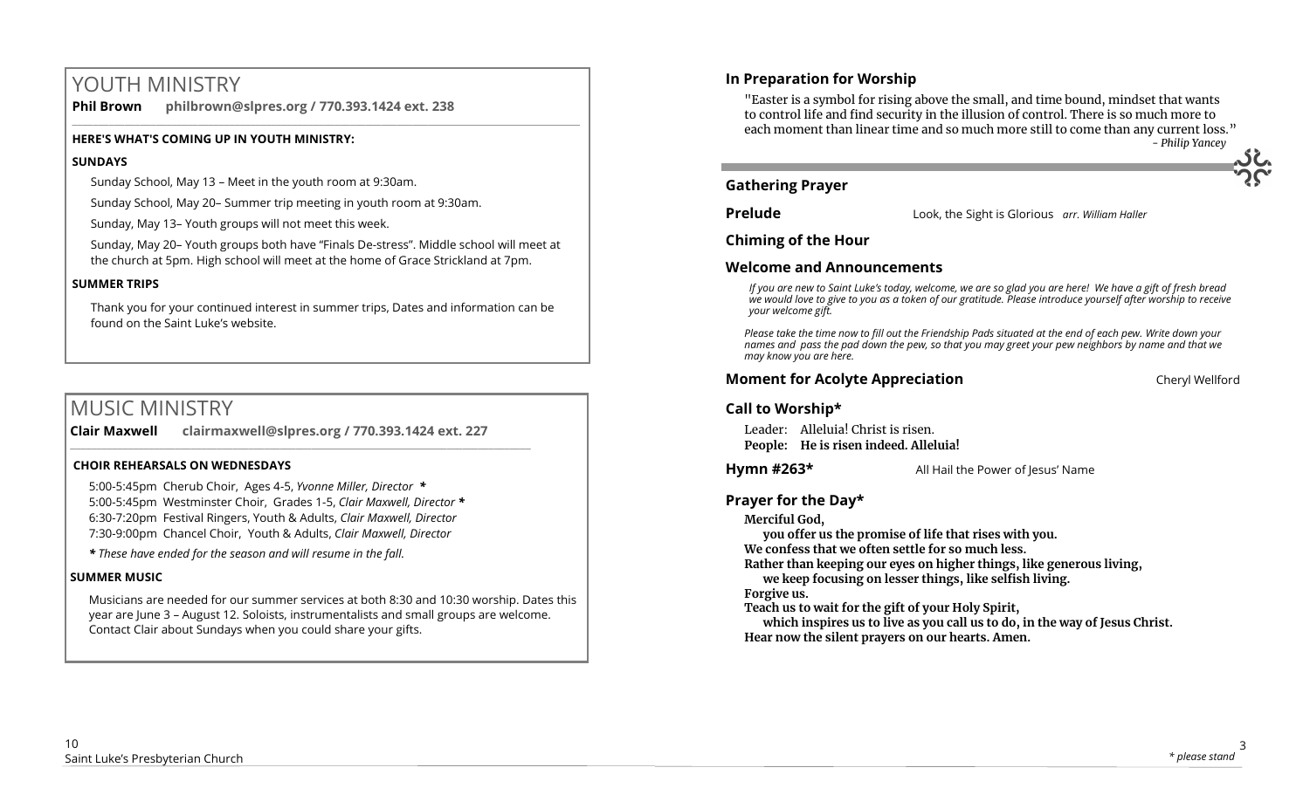# YOUTH MINISTRY

**Phil Brown philbrown@slpres.org / 770.393.1424 ext. 238** 

## **HERE'S WHAT'S COMING UP IN YOUTH MINISTRY:**

## **SUNDAYS**

Sunday School, May 13 – Meet in the youth room at 9:30am.

Sunday School, May 20– Summer trip meeting in youth room at 9:30am.

Sunday, May 13– Youth groups will not meet this week.

Sunday, May 20– Youth groups both have "Finals De-stress". Middle school will meet at the church at 5pm. High school will meet at the home of Grace Strickland at 7pm.

 $\_$  ,  $\_$  ,  $\_$  ,  $\_$  ,  $\_$  ,  $\_$  ,  $\_$  ,  $\_$  ,  $\_$  ,  $\_$  ,  $\_$  ,  $\_$  ,  $\_$  ,  $\_$  ,  $\_$  ,  $\_$  ,  $\_$  ,  $\_$  ,  $\_$  ,  $\_$  ,  $\_$  ,  $\_$  ,  $\_$  ,  $\_$  ,  $\_$  ,  $\_$  ,  $\_$  ,  $\_$  ,  $\_$  ,  $\_$  ,  $\_$  ,  $\_$  ,  $\_$  ,  $\_$  ,  $\_$  ,  $\_$  ,  $\_$  ,

## **SUMMER TRIPS**

Thank you for your continued interest in summer trips, Dates and information can be found on the Saint Luke's website.

# MUSIC MINISTRY

**Clair Maxwell clairmaxwell@slpres.org / 770.393.1424 ext. 227**  \_\_\_\_\_\_\_\_\_\_\_\_\_\_\_\_\_\_\_\_\_\_\_\_\_\_\_\_\_\_\_\_\_\_\_\_\_\_\_\_\_\_\_\_\_\_\_\_\_\_\_\_\_\_\_\_\_\_\_\_\_\_\_\_\_\_\_\_\_\_\_\_\_\_\_\_\_\_\_\_\_\_\_\_\_\_\_\_

## **CHOIR REHEARSALS ON WEDNESDAYS**

5:00-5:45pm Cherub Choir, Ages 4-5, *Yvonne Miller, Director \** 5:00-5:45pm Westminster Choir, Grades 1-5, *Clair Maxwell, Director \**  6:30-7:20pm Festival Ringers, Youth & Adults, *Clair Maxwell, Director*  7:30-9:00pm Chancel Choir, Youth & Adults, *Clair Maxwell, Director* 

*\* These have ended for the season and will resume in the fall.*

## **SUMMER MUSIC**

Musicians are needed for our summer services at both 8:30 and 10:30 worship. Dates this year are June 3 – August 12. Soloists, instrumentalists and small groups are welcome. Contact Clair about Sundays when you could share your gifts.

"Easter is a symbol for rising above the small, and time bound, mindset that wants to control life and find security in the illusion of control. There is so much more to each moment than linear time and so much more still to come than any current loss." *- Philip Yancey* 

## **Gathering Prayer**

**Prelude** Look, the Sight is Glorious *arr. William Haller*

**Chiming of the Hour**

## **Welcome and Announcements**

*If you are new to Saint Luke's today, welcome, we are so glad you are here! We have a gift of fresh bread we would love to give to you as a token of our gratitude. Please introduce yourself after worship to receive your welcome gift.*

*Please take the time now to fill out the Friendship Pads situated at the end of each pew. Write down your names and pass the pad down the pew, so that you may greet your pew neighbors by name and that we may know you are here.*

## **Moment for Acolyte Appreciation** Cheryl Wellford Cheryl Wellford

## **Call to Worship\***

Leader: Alleluia! Christ is risen. **People: He is risen indeed. Alleluia!**

**Hymn #263\*** All Hail the Power of Jesus' Name

## **Prayer for the Day\***

**Merciful God,** 

**you offer us the promise of life that rises with you.** 

**We confess that we often settle for so much less.** 

**Rather than keeping our eyes on higher things, like generous living, we keep focusing on lesser things, like selfish living.**

**Forgive us.**

**Teach us to wait for the gift of your Holy Spirit,**

**which inspires us to live as you call us to do, in the way of Jesus Christ. Hear now the silent prayers on our hearts. Amen.**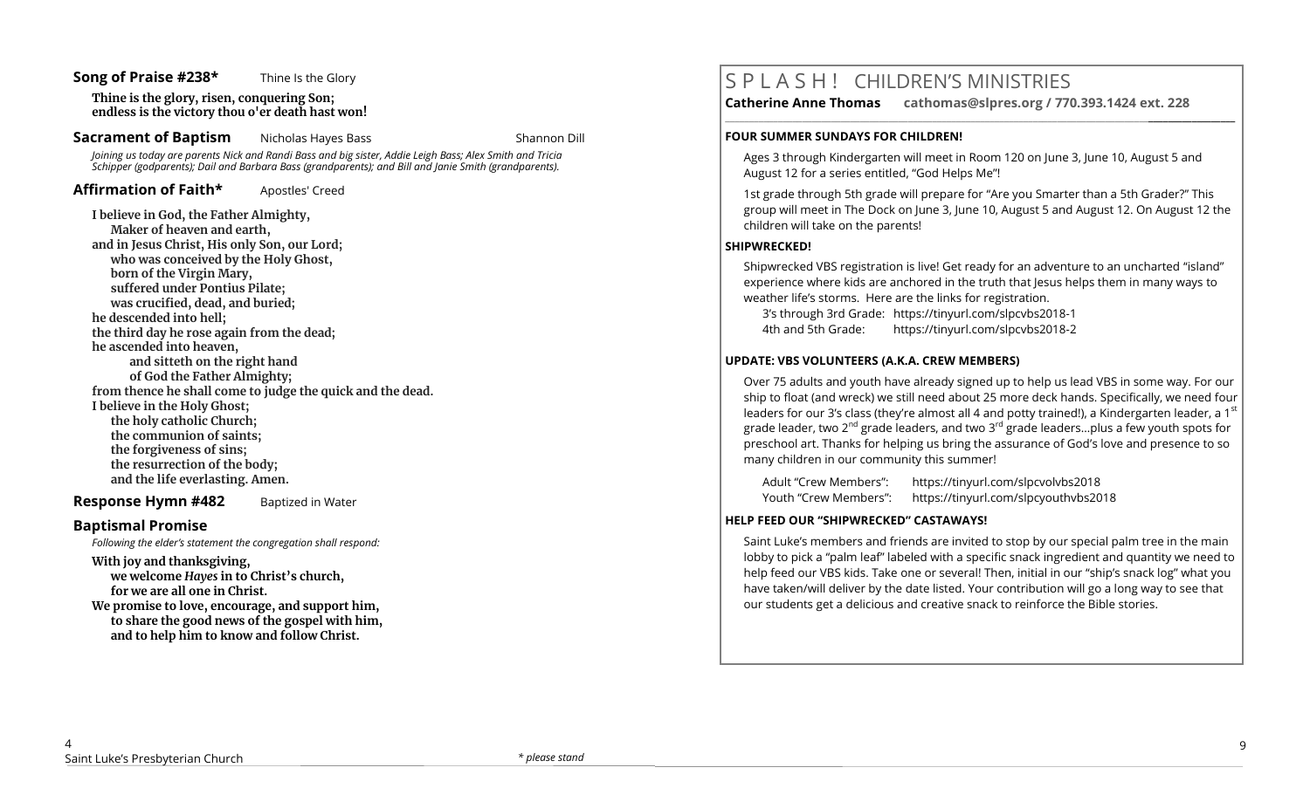#### **Song of Praise #238\*** Thine Is the Glory

**Thine is the glory, risen, conquering Son; endless is the victory thou o'er death hast won!**

**Sacrament of Baptism** Nicholas Hayes Bass Shannon Dill

*Joining us today are parents Nick and Randi Bass and big sister, Addie Leigh Bass; Alex Smith and Tricia Schipper (godparents); Dail and Barbara Bass (grandparents); and Bill and Janie Smith (grandparents).*

Affirmation of Faith\* Apostles' Creed

**I believe in God, the Father Almighty, Maker of heaven and earth, and in Jesus Christ, His only Son, our Lord; who was conceived by the Holy Ghost, born of the Virgin Mary, suffered under Pontius Pilate; was crucified, dead, and buried; he descended into hell; the third day he rose again from the dead; he ascended into heaven, and sitteth on the right hand of God the Father Almighty; from thence he shall come to judge the quick and the dead. I believe in the Holy Ghost; the holy catholic Church; the communion of saints; the forgiveness of sins; the resurrection of the body; and the life everlasting. Amen.**

**Response Hymn #482** Baptized in Water

## **Baptismal Promise**

*Following the elder's statement the congregation shall respond:*

**With joy and thanksgiving, we welcome** *Hayes* **in to Christ's church, for we are all one in Christ.** 

**We promise to love, encourage, and support him, to share the good news of the gospel with him, and to help him to know and follow Christ.**

# S P L A S H ! CHILDREN'S MINISTRIES

**\_\_\_\_\_\_\_\_\_\_\_\_\_\_\_\_\_\_\_\_\_\_\_\_\_\_\_\_\_\_\_\_\_\_\_\_\_\_\_\_\_\_\_\_\_\_\_\_\_\_\_\_\_\_\_\_\_\_\_\_\_\_\_\_\_\_\_\_\_\_\_\_\_\_\_\_\_\_\_\_\_\_\_\_\_\_\_\_\_\_\_\_\_\_\_\_\_\_\_\_\_\_\_\_\_\_** 

**Catherine Anne Thomas cathomas@slpres.org / 770.393.1424 ext. 228** 

#### **FOUR SUMMER SUNDAYS FOR CHILDREN!**

Ages 3 through Kindergarten will meet in Room 120 on June 3, June 10, August 5 and August 12 for a series entitled, "God Helps Me"!

1st grade through 5th grade will prepare for "Are you Smarter than a 5th Grader?" This group will meet in The Dock on June 3, June 10, August 5 and August 12. On August 12 the children will take on the parents!

### **SHIPWRECKED!**

Shipwrecked VBS registration is live! Get ready for an adventure to an uncharted "island" experience where kids are anchored in the truth that Jesus helps them in many ways to weather life's storms. Here are the links for registration.

3's through 3rd Grade: https://tinyurl.com/slpcvbs2018-1

4th and 5th Grade: https://tinyurl.com/slpcvbs2018-2

### **UPDATE: VBS VOLUNTEERS (A.K.A. CREW MEMBERS)**

Over 75 adults and youth have already signed up to help us lead VBS in some way. For our ship to float (and wreck) we still need about 25 more deck hands. Specifically, we need four leaders for our 3's class (they're almost all 4 and potty trained!), a Kindergarten leader, a 1st grade leader, two 2<sup>nd</sup> grade leaders, and two 3<sup>rd</sup> grade leaders...plus a few youth spots for preschool art. Thanks for helping us bring the assurance of God's love and presence to so many children in our community this summer!

Adult "Crew Members": https://tinyurl.com/slpcvolvbs2018 Youth "Crew Members": https://tinyurl.com/slpcyouthvbs2018

#### **HELP FEED OUR "SHIPWRECKED" CASTAWAYS!**

Saint Luke's members and friends are invited to stop by our special palm tree in the main lobby to pick a "palm leaf" labeled with a specific snack ingredient and quantity we need to help feed our VBS kids. Take one or several! Then, initial in our "ship's snack log" what you have taken/will deliver by the date listed. Your contribution will go a long way to see that our students get a delicious and creative snack to reinforce the Bible stories.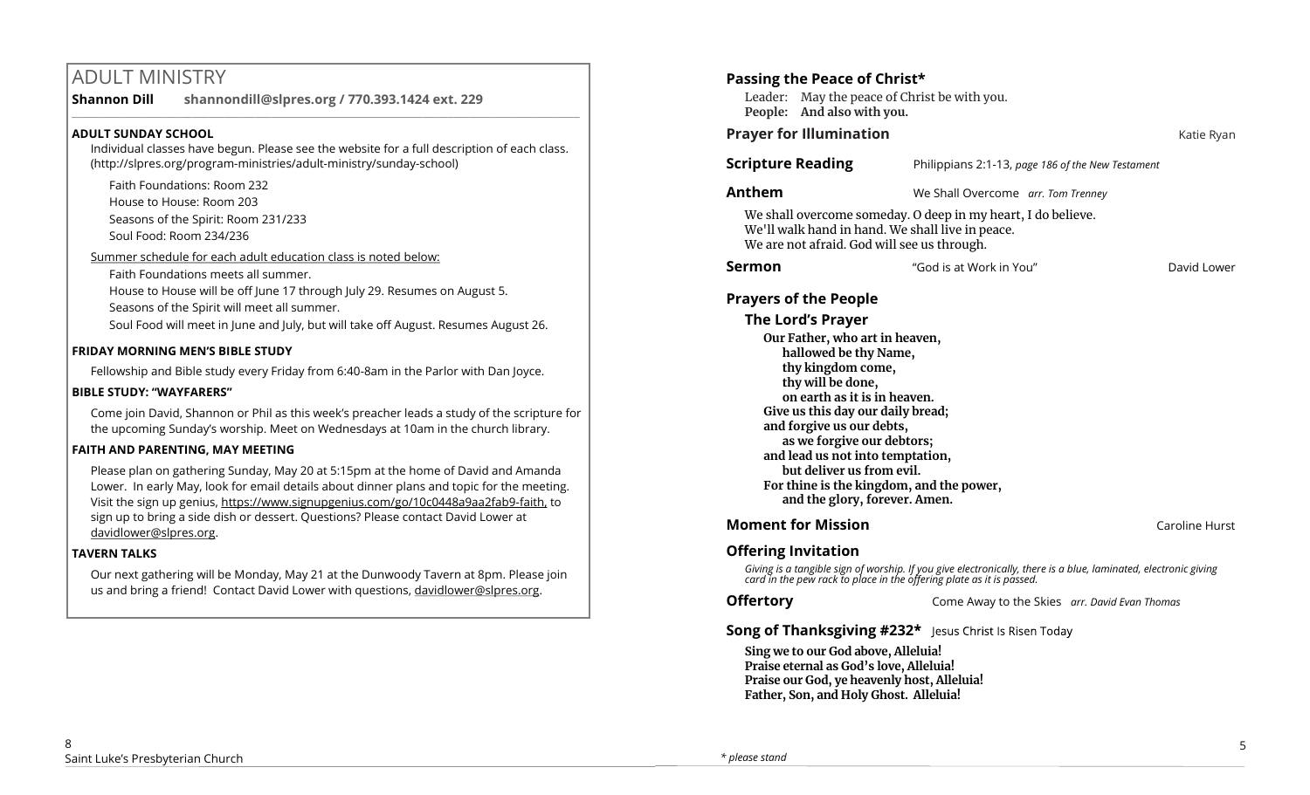# ADULT MINISTRY

#### **Shannon Dill shannondill@slpres.org / 770.393.1424 ext. 229**   $\_$  ,  $\_$  ,  $\_$  ,  $\_$  ,  $\_$  ,  $\_$  ,  $\_$  ,  $\_$  ,  $\_$  ,  $\_$  ,  $\_$  ,  $\_$  ,  $\_$  ,  $\_$  ,  $\_$  ,  $\_$  ,  $\_$  ,  $\_$  ,  $\_$  ,  $\_$

## **ADULT SUNDAY SCHOOL**

Individual classes have begun. Please see the website for a full description of each class. (http://slpres.org/program-ministries/adult-ministry/sunday-school)

- Faith Foundations: Room 232 House to House: Room 203
- Seasons of the Spirit: Room 231/233
- Soul Food: Room 234/236
- Summer schedule for each adult education class is noted below:
	- Faith Foundations meets all summer.
	- House to House will be off June 17 through July 29. Resumes on August 5.
	- Seasons of the Spirit will meet all summer.
	- Soul Food will meet in June and July, but will take off August. Resumes August 26.

## **FRIDAY MORNING MEN'S BIBLE STUDY**

Fellowship and Bible study every Friday from 6:40-8am in the Parlor with Dan Joyce.

## **BIBLE STUDY: "WAYFARERS"**

Come join David, Shannon or Phil as this week's preacher leads a study of the scripture for the upcoming Sunday's worship. Meet on Wednesdays at 10am in the church library.

## **FAITH AND PARENTING, MAY MEETING**

Please plan on gathering Sunday, May 20 at 5:15pm at the home of David and Amanda Lower. In early May, look for email details about dinner plans and topic for the meeting. Visit the sign up genius, https://www.signupgenius.com/go/10c0448a9aa2fab9-faith, to sign up to bring a side dish or dessert. Questions? Please contact David Lower at davidlower@slpres.org.

## **TAVERN TALKS**

Our next gathering will be Monday, May 21 at the Dunwoody Tavern at 8pm. Please join us and bring a friend! Contact David Lower with questions, davidlower@slpres.org.

# **Passing the Peace of Christ\***  Leader: May the peace of Christ be with you. **People: And also with you. Prayer for Illumination Contract Contract Contract Contract Contract Contract Contract Contract Contract Contract Contract Contract Contract Contract Contract Contract Contract Contract Contract Contract Contract Contra Scripture Reading** Philippians 2:1-13, *page 186 of the New Testament* **Anthem** We Shall Overcome *arr. Tom Trenney* We shall overcome someday. O deep in my heart, I do believe. We'll walk hand in hand. We shall live in peace. We are not afraid. God will see us through. **Sermon Example 3 "God is at Work in You"** David Lower **Prayers of the People The Lord's Prayer Our Father, who art in heaven, hallowed be thy Name, thy kingdom come, thy will be done, on earth as it is in heaven. Give us this day our daily bread; and forgive us our debts, as we forgive our debtors; and lead us not into temptation, but deliver us from evil. For thine is the kingdom, and the power, and the glory, forever. Amen. Moment for Mission Caroline Hurst Moment for Mission**

# **Offering Invitation**

*Giving is a tangible sign of worship. If you give electronically, there is a blue, laminated, electronic giving card in the pew rack to place in the offering plate as it is passed.*

**Offertory** Come Away to the Skies *arr. David Evan Thomas*

# **Song of Thanksgiving #232\*** Jesus Christ Is Risen Today

**Sing we to our God above, Alleluia! Praise eternal as God's love, Alleluia! Praise our God, ye heavenly host, Alleluia! Father, Son, and Holy Ghost. Alleluia!**